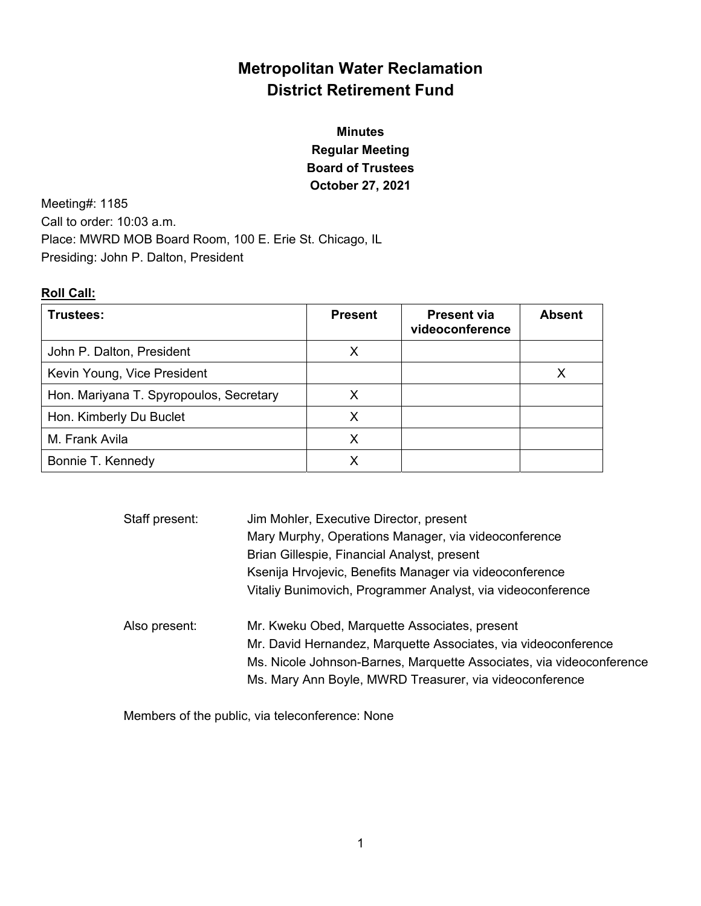# **Metropolitan Water Reclamation District Retirement Fund**

# **Minutes Regular Meeting Board of Trustees October 27, 2021**

Meeting#: 1185 Call to order: 10:03 a.m. Place: MWRD MOB Board Room, 100 E. Erie St. Chicago, IL Presiding: John P. Dalton, President

### **Roll Call:**

| Trustees:                               | <b>Present</b> | <b>Present via</b><br>videoconference | <b>Absent</b> |
|-----------------------------------------|----------------|---------------------------------------|---------------|
| John P. Dalton, President               |                |                                       |               |
| Kevin Young, Vice President             |                |                                       |               |
| Hon. Mariyana T. Spyropoulos, Secretary | x              |                                       |               |
| Hon. Kimberly Du Buclet                 | Х              |                                       |               |
| M. Frank Avila                          | х              |                                       |               |
| Bonnie T. Kennedy                       |                |                                       |               |

| Staff present: | Jim Mohler, Executive Director, present                              |  |
|----------------|----------------------------------------------------------------------|--|
|                | Mary Murphy, Operations Manager, via videoconference                 |  |
|                | Brian Gillespie, Financial Analyst, present                          |  |
|                | Ksenija Hrvojevic, Benefits Manager via videoconference              |  |
|                | Vitaliy Bunimovich, Programmer Analyst, via videoconference          |  |
| Also present:  | Mr. Kweku Obed, Marquette Associates, present                        |  |
|                | Mr. David Hernandez, Marquette Associates, via videoconference       |  |
|                | Ms. Nicole Johnson-Barnes, Marquette Associates, via videoconference |  |
|                | Ms. Mary Ann Boyle, MWRD Treasurer, via videoconference              |  |

Members of the public, via teleconference: None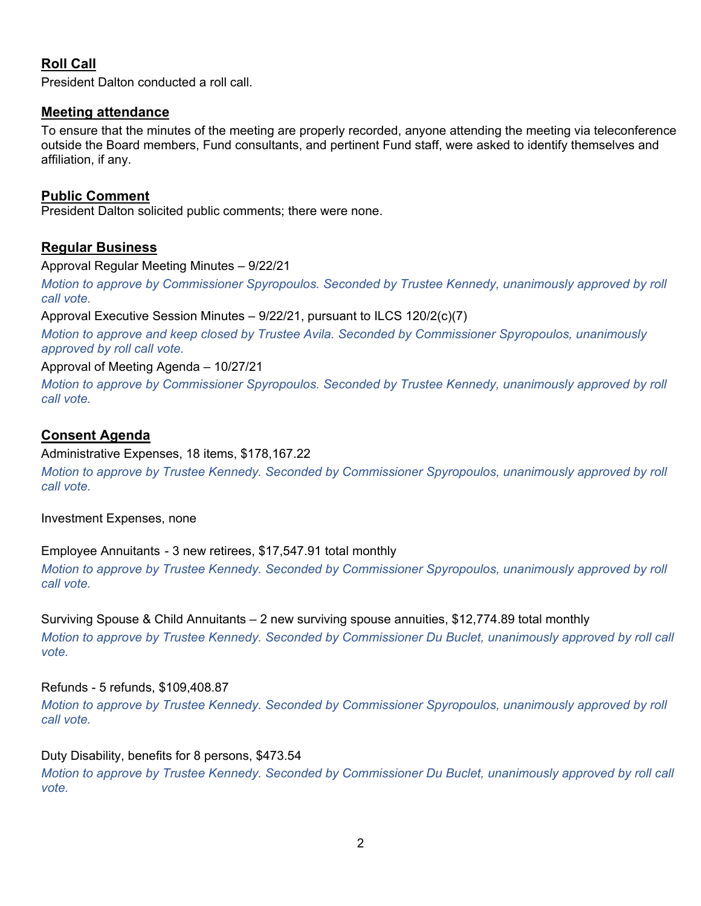## **Roll Call**

President Dalton conducted a roll call.

### **Meeting attendance**

To ensure that the minutes of the meeting are properly recorded, anyone attending the meeting via teleconference outside the Board members, Fund consultants, and pertinent Fund staff, were asked to identify themselves and affiliation, if any.

### **Public Comment**

President Dalton solicited public comments; there were none.

### **Regular Business**

Approval Regular Meeting Minutes – 9/22/21

*Motion to approve by Commissioner Spyropoulos. Seconded by Trustee Kennedy, unanimously approved by roll call vote.*

Approval Executive Session Minutes – 9/22/21, pursuant to ILCS 120/2(c)(7)

*Motion to approve and keep closed by Trustee Avila. Seconded by Commissioner Spyropoulos, unanimously approved by roll call vote.* 

Approval of Meeting Agenda – 10/27/21

*Motion to approve by Commissioner Spyropoulos. Seconded by Trustee Kennedy, unanimously approved by roll call vote.* 

### **Consent Agenda**

#### Administrative Expenses, 18 items, \$178,167.22

*Motion to approve by Trustee Kennedy. Seconded by Commissioner Spyropoulos, unanimously approved by roll call vote.* 

Investment Expenses, none

### Employee Annuitants - 3 new retirees, \$17,547.91 total monthly

*Motion to approve by Trustee Kennedy. Seconded by Commissioner Spyropoulos, unanimously approved by roll call vote.* 

Surviving Spouse & Child Annuitants – 2 new surviving spouse annuities, \$12,774.89 total monthly *Motion to approve by Trustee Kennedy. Seconded by Commissioner Du Buclet, unanimously approved by roll call vote.* 

### Refunds - 5 refunds, \$109,408.87

*Motion to approve by Trustee Kennedy. Seconded by Commissioner Spyropoulos, unanimously approved by roll call vote.* 

#### Duty Disability, benefits for 8 persons, \$473.54

*Motion to approve by Trustee Kennedy. Seconded by Commissioner Du Buclet, unanimously approved by roll call vote.*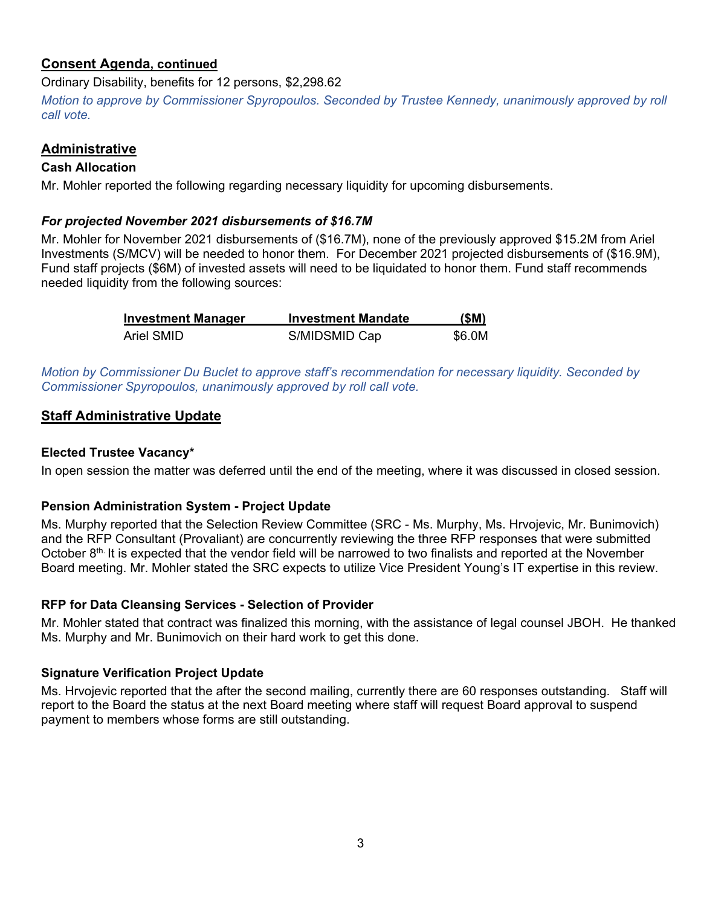### **Consent Agenda, continued**

Ordinary Disability, benefits for 12 persons, \$2,298.62

*Motion to approve by Commissioner Spyropoulos. Seconded by Trustee Kennedy, unanimously approved by roll call vote.*

### **Administrative**

### **Cash Allocation**

Mr. Mohler reported the following regarding necessary liquidity for upcoming disbursements.

### *For projected November 2021 disbursements of \$16.7M*

Mr. Mohler for November 2021 disbursements of (\$16.7M), none of the previously approved \$15.2M from Ariel Investments (S/MCV) will be needed to honor them. For December 2021 projected disbursements of (\$16.9M), Fund staff projects (\$6M) of invested assets will need to be liquidated to honor them. Fund staff recommends needed liquidity from the following sources:

| <b>Investment Manager</b> | <b>Investment Mandate</b> | (SM)   |
|---------------------------|---------------------------|--------|
| Ariel SMID                | S/MIDSMID Cap             | \$6.0M |

*Motion by Commissioner Du Buclet to approve staff's recommendation for necessary liquidity. Seconded by Commissioner Spyropoulos, unanimously approved by roll call vote.* 

### **Staff Administrative Update**

### **Elected Trustee Vacancy\***

In open session the matter was deferred until the end of the meeting, where it was discussed in closed session.

### **Pension Administration System - Project Update**

Ms. Murphy reported that the Selection Review Committee (SRC - Ms. Murphy, Ms. Hrvojevic, Mr. Bunimovich) and the RFP Consultant (Provaliant) are concurrently reviewing the three RFP responses that were submitted October  $8<sup>th</sup>$  It is expected that the vendor field will be narrowed to two finalists and reported at the November Board meeting. Mr. Mohler stated the SRC expects to utilize Vice President Young's IT expertise in this review.

### **RFP for Data Cleansing Services - Selection of Provider**

Mr. Mohler stated that contract was finalized this morning, with the assistance of legal counsel JBOH. He thanked Ms. Murphy and Mr. Bunimovich on their hard work to get this done.

### **Signature Verification Project Update**

Ms. Hrvojevic reported that the after the second mailing, currently there are 60 responses outstanding. Staff will report to the Board the status at the next Board meeting where staff will request Board approval to suspend payment to members whose forms are still outstanding.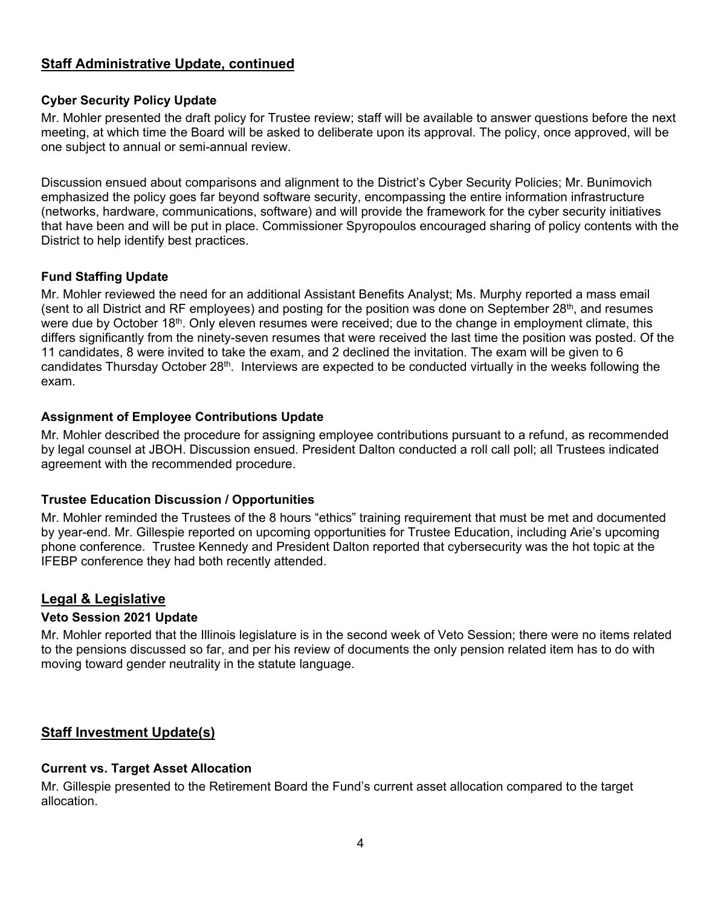### **Staff Administrative Update, continued**

### **Cyber Security Policy Update**

Mr. Mohler presented the draft policy for Trustee review; staff will be available to answer questions before the next meeting, at which time the Board will be asked to deliberate upon its approval. The policy, once approved, will be one subject to annual or semi-annual review.

Discussion ensued about comparisons and alignment to the District's Cyber Security Policies; Mr. Bunimovich emphasized the policy goes far beyond software security, encompassing the entire information infrastructure (networks, hardware, communications, software) and will provide the framework for the cyber security initiatives that have been and will be put in place. Commissioner Spyropoulos encouraged sharing of policy contents with the District to help identify best practices.

### **Fund Staffing Update**

Mr. Mohler reviewed the need for an additional Assistant Benefits Analyst; Ms. Murphy reported a mass email (sent to all District and RF employees) and posting for the position was done on September  $28<sup>th</sup>$ , and resumes were due by October 18<sup>th</sup>. Only eleven resumes were received; due to the change in employment climate, this differs significantly from the ninety-seven resumes that were received the last time the position was posted. Of the 11 candidates, 8 were invited to take the exam, and 2 declined the invitation. The exam will be given to 6 candidates Thursday October 28<sup>th</sup>. Interviews are expected to be conducted virtually in the weeks following the exam.

#### **Assignment of Employee Contributions Update**

Mr. Mohler described the procedure for assigning employee contributions pursuant to a refund, as recommended by legal counsel at JBOH. Discussion ensued. President Dalton conducted a roll call poll; all Trustees indicated agreement with the recommended procedure.

### **Trustee Education Discussion / Opportunities**

Mr. Mohler reminded the Trustees of the 8 hours "ethics" training requirement that must be met and documented by year-end. Mr. Gillespie reported on upcoming opportunities for Trustee Education, including Arie's upcoming phone conference. Trustee Kennedy and President Dalton reported that cybersecurity was the hot topic at the IFEBP conference they had both recently attended.

### **Legal & Legislative**

#### **Veto Session 2021 Update**

Mr. Mohler reported that the Illinois legislature is in the second week of Veto Session; there were no items related to the pensions discussed so far, and per his review of documents the only pension related item has to do with moving toward gender neutrality in the statute language.

### **Staff Investment Update(s)**

#### **Current vs. Target Asset Allocation**

Mr. Gillespie presented to the Retirement Board the Fund's current asset allocation compared to the target allocation.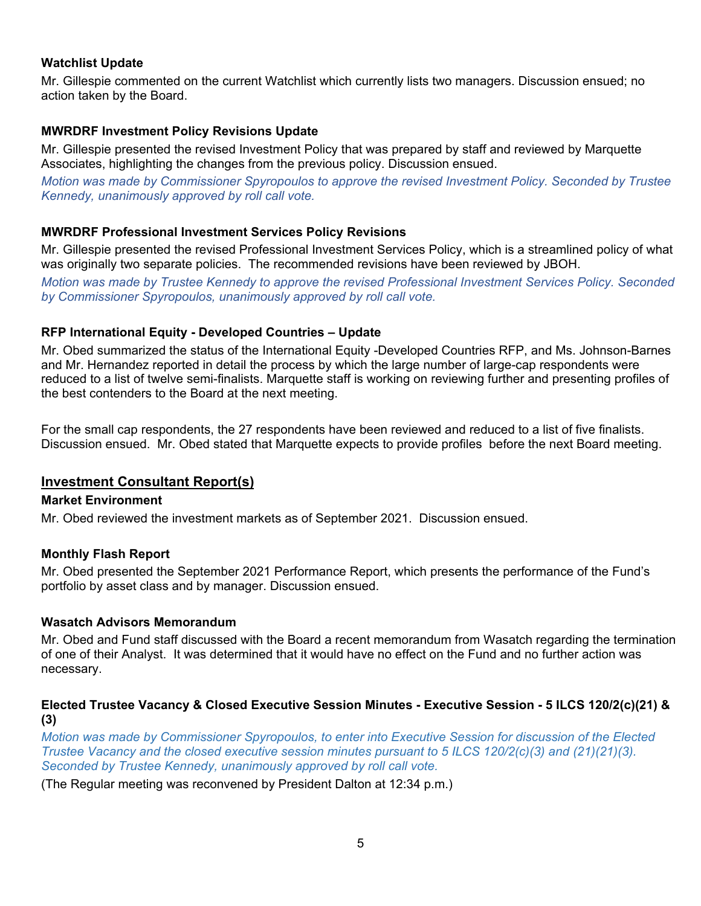### **Watchlist Update**

Mr. Gillespie commented on the current Watchlist which currently lists two managers. Discussion ensued; no action taken by the Board.

### **MWRDRF Investment Policy Revisions Update**

Mr. Gillespie presented the revised Investment Policy that was prepared by staff and reviewed by Marquette Associates, highlighting the changes from the previous policy. Discussion ensued.

*Motion was made by Commissioner Spyropoulos to approve the revised Investment Policy. Seconded by Trustee Kennedy, unanimously approved by roll call vote.*

### **MWRDRF Professional Investment Services Policy Revisions**

Mr. Gillespie presented the revised Professional Investment Services Policy, which is a streamlined policy of what was originally two separate policies. The recommended revisions have been reviewed by JBOH.

*Motion was made by Trustee Kennedy to approve the revised Professional Investment Services Policy. Seconded by Commissioner Spyropoulos, unanimously approved by roll call vote.*

### **RFP International Equity - Developed Countries – Update**

Mr. Obed summarized the status of the International Equity -Developed Countries RFP, and Ms. Johnson-Barnes and Mr. Hernandez reported in detail the process by which the large number of large-cap respondents were reduced to a list of twelve semi-finalists. Marquette staff is working on reviewing further and presenting profiles of the best contenders to the Board at the next meeting.

For the small cap respondents, the 27 respondents have been reviewed and reduced to a list of five finalists. Discussion ensued. Mr. Obed stated that Marquette expects to provide profiles before the next Board meeting.

### **Investment Consultant Report(s)**

### **Market Environment**

Mr. Obed reviewed the investment markets as of September 2021. Discussion ensued.

### **Monthly Flash Report**

Mr. Obed presented the September 2021 Performance Report, which presents the performance of the Fund's portfolio by asset class and by manager. Discussion ensued.

### **Wasatch Advisors Memorandum**

Mr. Obed and Fund staff discussed with the Board a recent memorandum from Wasatch regarding the termination of one of their Analyst. It was determined that it would have no effect on the Fund and no further action was necessary.

### **Elected Trustee Vacancy & Closed Executive Session Minutes - Executive Session - 5 ILCS 120/2(c)(21) & (3)**

*Motion was made by Commissioner Spyropoulos, to enter into Executive Session for discussion of the Elected Trustee Vacancy and the closed executive session minutes pursuant to 5 ILCS 120/2(c)(3) and (21)(21)(3). Seconded by Trustee Kennedy, unanimously approved by roll call vote.*

(The Regular meeting was reconvened by President Dalton at 12:34 p.m.)